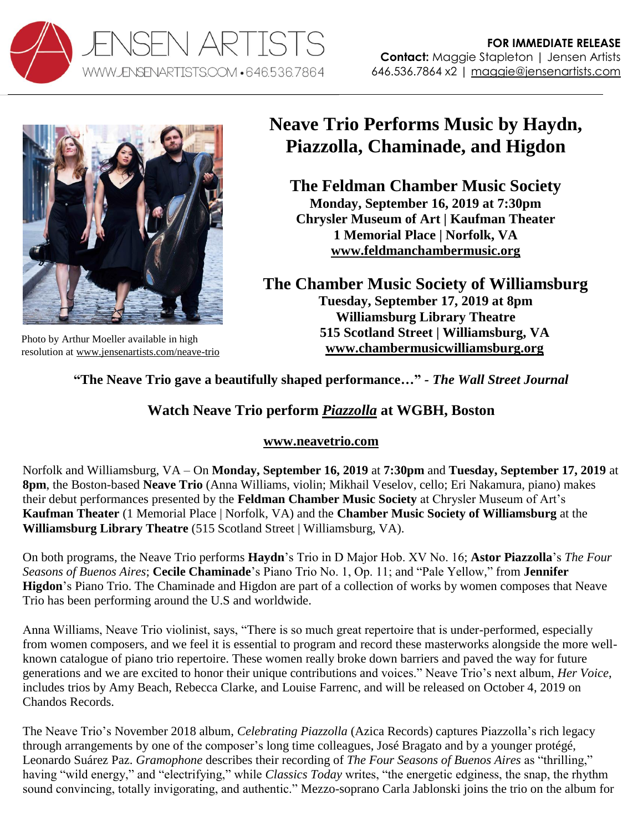



Photo by Arthur Moeller available in high resolution at [www.jensenartists.com/neave-trio](http://www.jensenartists.com/neave-trio)

## **Neave Trio Performs Music by Haydn, Piazzolla, Chaminade, and Higdon**

**The Feldman Chamber Music Society Monday, September 16, 2019 at 7:30pm Chrysler Museum of Art | Kaufman Theater 1 Memorial Place | Norfolk, VA [www.feldmanchambermusic.org](http://www.feldmanchambermusic.org/)**

**The Chamber Music Society of Williamsburg Tuesday, September 17, 2019 at 8pm Williamsburg Library Theatre 515 Scotland Street | Williamsburg, VA [www.chambermusicwilliamsburg.org](http://www.chambermusicwilliamsburg.org/)**

## **"The Neave Trio gave a beautifully shaped performance…"** *- The Wall Street Journal*

## **Watch Neave Trio perform** *[Piazzolla](https://youtu.be/Xs3a6h4OV-E)* **at WGBH, Boston**

## **[www.neavetrio.com](http://www.neavetrio.com/)**

Norfolk and Williamsburg, VA – On **Monday, September 16, 2019** at **7:30pm** and **Tuesday, September 17, 2019** at **8pm**, the Boston-based **Neave Trio** (Anna Williams, violin; Mikhail Veselov, cello; Eri Nakamura, piano) makes their debut performances presented by the **Feldman Chamber Music Society** at Chrysler Museum of Art's **Kaufman Theater** (1 Memorial Place | Norfolk, VA) and the **Chamber Music Society of Williamsburg** at the **Williamsburg Library Theatre** (515 Scotland Street | Williamsburg, VA).

On both programs, the Neave Trio performs **Haydn**'s Trio in D Major Hob. XV No. 16; **Astor Piazzolla**'s *The Four Seasons of Buenos Aires*; **Cecile Chaminade**'s Piano Trio No. 1, Op. 11; and "Pale Yellow," from **Jennifer Higdon**'s Piano Trio. The Chaminade and Higdon are part of a collection of works by women composes that Neave Trio has been performing around the U.S and worldwide.

Anna Williams, Neave Trio violinist, says, "There is so much great repertoire that is under-performed, especially from women composers, and we feel it is essential to program and record these masterworks alongside the more wellknown catalogue of piano trio repertoire. These women really broke down barriers and paved the way for future generations and we are excited to honor their unique contributions and voices." Neave Trio's next album, *Her Voice*, includes trios by Amy Beach, Rebecca Clarke, and Louise Farrenc, and will be released on October 4, 2019 on Chandos Records.

The Neave Trio's November 2018 album, *Celebrating Piazzolla* (Azica Records) captures Piazzolla's rich legacy through arrangements by one of the composer's long time colleagues, José Bragato and by a younger protégé, Leonardo Suárez Paz. *Gramophone* describes their recording of *The Four Seasons of Buenos Aires* as "thrilling," having "wild energy," and "electrifying," while *Classics Today* writes, "the energetic edginess, the snap, the rhythm sound convincing, totally invigorating, and authentic." Mezzo-soprano Carla Jablonski joins the trio on the album for